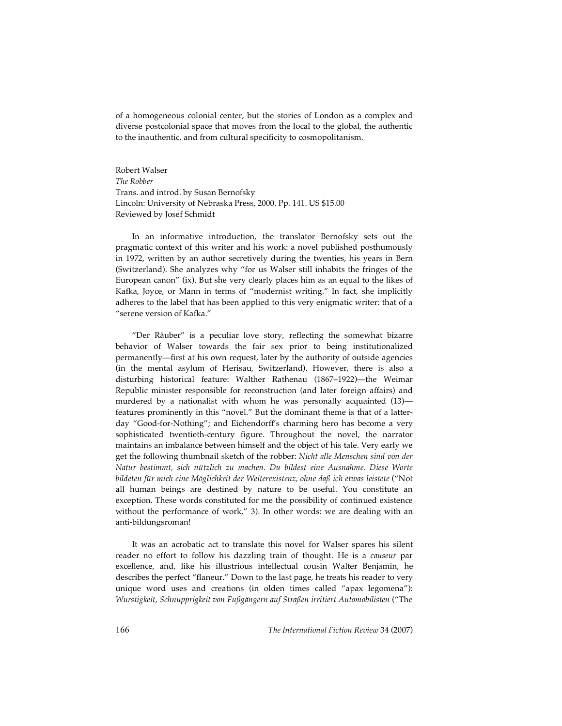of a homogeneous colonial center, but the stories of London as a complex and diverse postcolonial space that moves from the local to the global, the authentic to the inauthentic, and from cultural specificity to cosmopolitanism.

Robert Walser *The Robber* Trans. and introd. by Susan Bernofsky Lincoln: University of Nebraska Press, 2000. Pp. 141. US \$15.00 Reviewed by Josef Schmidt

In an informative introduction, the translator Bernofsky sets out the pragmatic context of this writer and his work: a novel published posthumously in 1972, written by an author secretively during the twenties, his years in Bern (Switzerland). She analyzes why "for us Walser still inhabits the fringes of the European canon" (ix). But she very clearly places him as an equal to the likes of Kafka, Joyce, or Mann in terms of "modernist writing." In fact, she implicitly adheres to the label that has been applied to this very enigmatic writer: that of a "serene version of Kafka."

"Der Räuber" is a peculiar love story, reflecting the somewhat bizarre behavior of Walser towards the fair sex prior to being institutionalized permanently—first at his own request, later by the authority of outside agencies (in the mental asylum of Herisau, Switzerland). However, there is also a disturbing historical feature: Walther Rathenau (1867–1922)—the Weimar Republic minister responsible for reconstruction (and later foreign affairs) and murdered by a nationalist with whom he was personally acquainted (13) features prominently in this "novel." But the dominant theme is that of a latterday "Good-for-Nothing"; and Eichendorff's charming hero has become a very sophisticated twentieth-century figure. Throughout the novel, the narrator maintains an imbalance between himself and the object of his tale. Very early we get the following thumbnail sketch of the robber: *Nicht alle Menschen sind von der Natur bestimmt, sich nützlich zu machen. Du bildest eine Ausnahme. Diese Worte bildeten für mich eine Möglichkeit der Weiterexistenz, ohne daß ich etwas leistete* ("Not all human beings are destined by nature to be useful. You constitute an exception. These words constituted for me the possibility of continued existence without the performance of work," 3). In other words: we are dealing with an anti-bildungsroman!

It was an acrobatic act to translate this novel for Walser spares his silent reader no effort to follow his dazzling train of thought. He is a *causeur* par excellence, and, like his illustrious intellectual cousin Walter Benjamin, he describes the perfect "flaneur." Down to the last page, he treats his reader to very unique word uses and creations (in olden times called "apax legomena"): *Wurstigkeit, Schnupprigkeit von Fußgängern auf Straßen irritiert Automobilisten* ("The

166 *The International Fiction Review* 34 (2007)